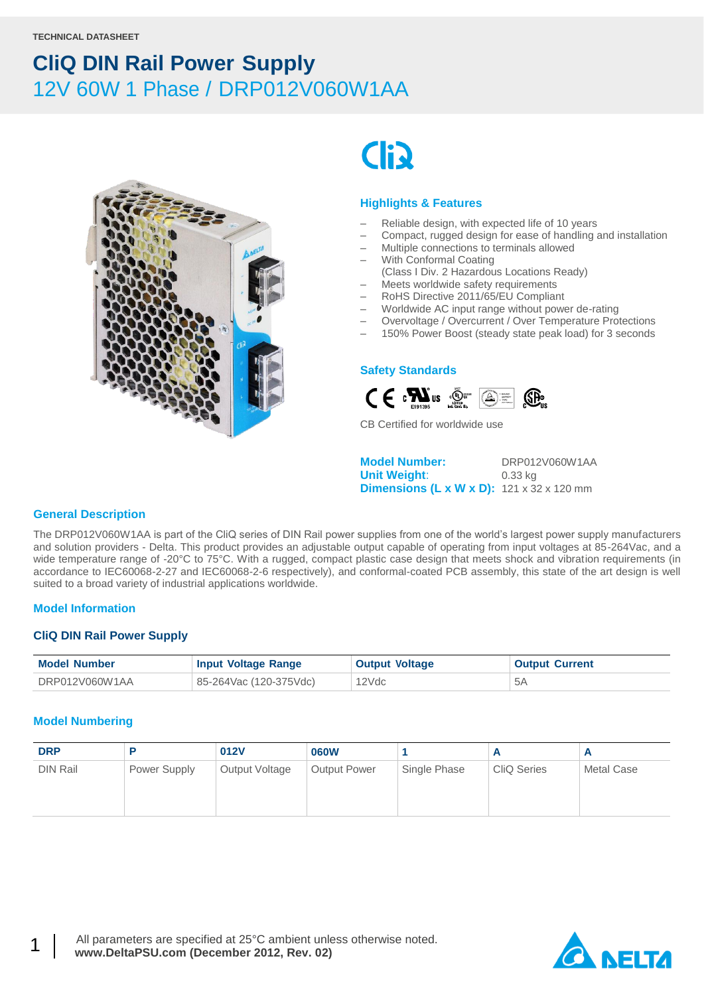



### **Highlights & Features**

- Reliable design, with expected life of 10 years
- Compact, rugged design for ease of handling and installation
- Multiple connections to terminals allowed
- With Conformal Coating
- (Class I Div. 2 Hazardous Locations Ready)
- Meets worldwide safety requirements
- RoHS Directive 2011/65/EU Compliant
- Worldwide AC input range without power de-rating
- Overvoltage / Overcurrent / Over Temperature Protections
- 150% Power Boost (steady state peak load) for 3 seconds

#### **Safety Standards**



CB Certified for worldwide use

**Model Number:** DRP012V060W1AA **Unit Weight**: 0.33 kg **Dimensions (L x W x D):** 121 x 32 x 120 mm

#### **General Description**

The DRP012V060W1AA is part of the CliQ series of DIN Rail power supplies from one of the world's largest power supply manufacturers and solution providers - Delta. This product provides an adjustable output capable of operating from input voltages at 85-264Vac, and a wide temperature range of -20°C to 75°C. With a rugged, compact plastic case design that meets shock and vibration requirements (in accordance to IEC60068-2-27 and IEC60068-2-6 respectively), and conformal-coated PCB assembly, this state of the art design is well suited to a broad variety of industrial applications worldwide.

#### **Model Information**

#### **CliQ DIN Rail Power Supply**

| <b>Model Number</b> | <b>Input Voltage Range</b> | <b>Output Voltage</b> | <b>Output Current</b> |
|---------------------|----------------------------|-----------------------|-----------------------|
| DRP012V060W1AA      | 85-264Vac (120-375Vdc)     | 12Vdc                 |                       |

#### **Model Numbering**

| <b>DRP</b>      |              | 012V           | <b>060W</b>         |              | n                  | r          |
|-----------------|--------------|----------------|---------------------|--------------|--------------------|------------|
| <b>DIN Rail</b> | Power Supply | Output Voltage | <b>Output Power</b> | Single Phase | <b>CliQ Series</b> | Metal Case |



1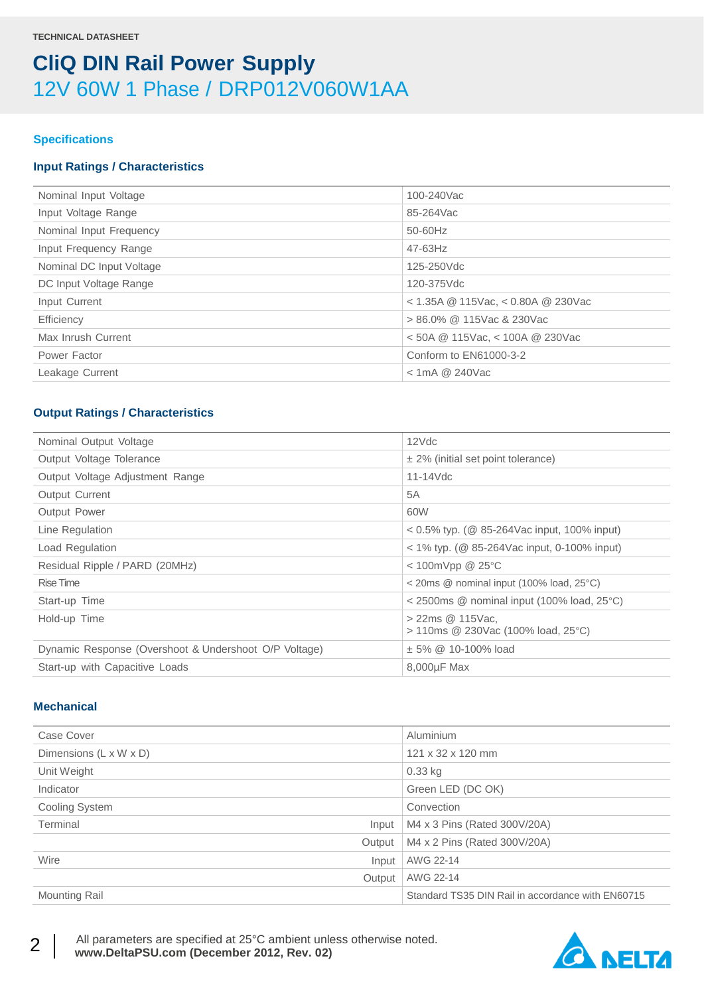### **Specifications**

### **Input Ratings / Characteristics**

| Nominal Input Voltage    | 100-240Vac                             |
|--------------------------|----------------------------------------|
| Input Voltage Range      | 85-264Vac                              |
| Nominal Input Frequency  | 50-60Hz                                |
| Input Frequency Range    | $47 - 63$ Hz                           |
| Nominal DC Input Voltage | 125-250Vdc                             |
| DC Input Voltage Range   | 120-375Vdc                             |
| Input Current            | $<$ 1.35A @ 115Vac, $<$ 0.80A @ 230Vac |
| Efficiency               | > 86.0% @ 115Vac & 230Vac              |
| Max Inrush Current       | $<$ 50A @ 115Vac, $<$ 100A @ 230Vac    |
| Power Factor             | Conform to EN61000-3-2                 |
| Leakage Current          | $<$ 1mA @ 240Vac                       |
|                          |                                        |

### **Output Ratings / Characteristics**

| Nominal Output Voltage                                | 12Vdc                                                                              |
|-------------------------------------------------------|------------------------------------------------------------------------------------|
| Output Voltage Tolerance                              | $\pm$ 2% (initial set point tolerance)                                             |
| Output Voltage Adjustment Range                       | $11-14$ $\sqrt{dc}$                                                                |
| Output Current                                        | 5A                                                                                 |
| Output Power                                          | 60W                                                                                |
| Line Regulation                                       | $0.5\%$ typ. (@ 85-264Vac input, 100% input)                                       |
| Load Regulation                                       | $<$ 1% typ. (@ 85-264Vac input, 0-100% input)                                      |
| Residual Ripple / PARD (20MHz)                        | $<$ 100mVpp @ 25 $\degree$ C                                                       |
| Rise Time                                             | $\leq$ 20ms @ nominal input (100% load, 25 $\degree$ C)                            |
| Start-up Time                                         | $\alpha$ 2500ms $\textcircled{a}$ nominal input (100% load, 25 $\textcircled{c}$ ) |
| Hold-up Time                                          | $>$ 22ms $@$ 115Vac.<br>> 110ms @ 230Vac (100% load, 25°C)                         |
| Dynamic Response (Overshoot & Undershoot O/P Voltage) | $\pm$ 5% @ 10-100% load                                                            |
| Start-up with Capacitive Loads                        | 8,000µF Max                                                                        |
|                                                       |                                                                                    |

### **Mechanical**

| Case Cover             | Aluminium                                         |
|------------------------|---------------------------------------------------|
| Dimensions (L x W x D) | 121 x 32 x 120 mm                                 |
| Unit Weight            | $0.33$ kg                                         |
| Indicator              | Green LED (DC OK)                                 |
| Cooling System         | Convection                                        |
| Terminal<br>Input      | M4 x 3 Pins (Rated 300V/20A)                      |
| Output                 | M4 x 2 Pins (Rated 300V/20A)                      |
| Wire<br>Input          | AWG 22-14                                         |
| Output                 | AWG 22-14                                         |
| <b>Mounting Rail</b>   | Standard TS35 DIN Rail in accordance with EN60715 |



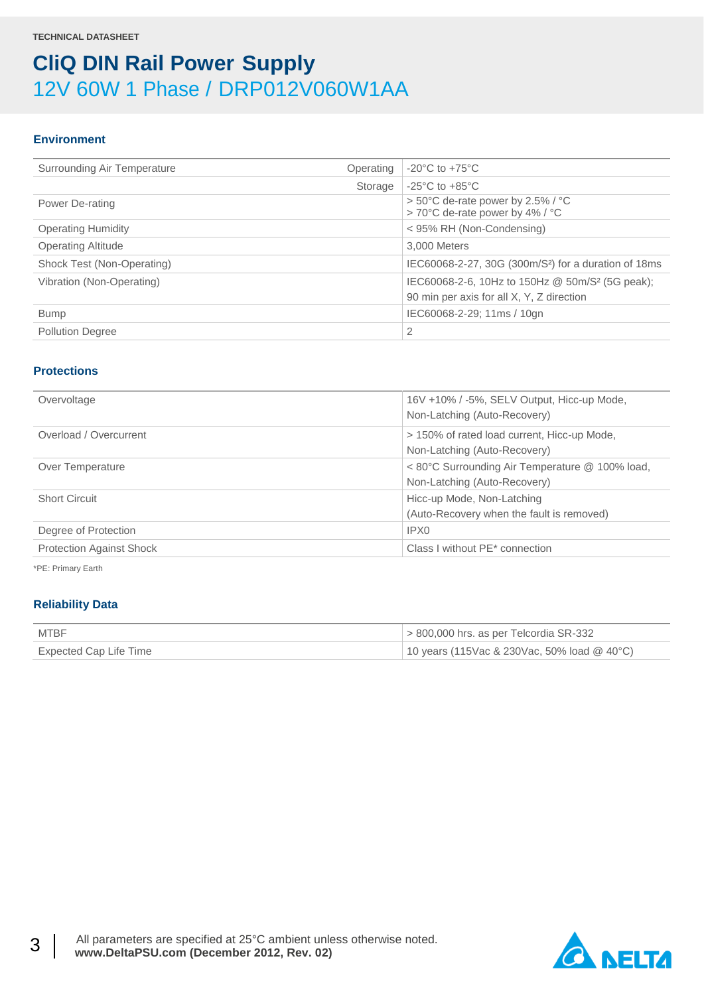### **Environment**

| $-20^{\circ}$ C to $+75^{\circ}$ C<br>Surrounding Air Temperature<br>Operating<br>$-25^{\circ}$ C to $+85^{\circ}$ C<br>Storage<br>$> 50^{\circ}$ C de-rate power by 2.5% / $^{\circ}$ C<br>Power De-rating<br>> 70°C de-rate power by 4% / °C<br>< 95% RH (Non-Condensing)<br><b>Operating Humidity</b><br><b>Operating Altitude</b><br>3,000 Meters<br>Shock Test (Non-Operating)<br>IEC60068-2-27, 30G (300m/S <sup>2</sup> ) for a duration of 18ms<br>IEC60068-2-6, 10Hz to 150Hz @ 50m/S <sup>2</sup> (5G peak);<br>Vibration (Non-Operating)<br>90 min per axis for all X, Y, Z direction<br>IEC60068-2-29; 11ms / 10gn<br><b>Bump</b><br>2<br><b>Pollution Degree</b> |  |  |
|-------------------------------------------------------------------------------------------------------------------------------------------------------------------------------------------------------------------------------------------------------------------------------------------------------------------------------------------------------------------------------------------------------------------------------------------------------------------------------------------------------------------------------------------------------------------------------------------------------------------------------------------------------------------------------|--|--|
|                                                                                                                                                                                                                                                                                                                                                                                                                                                                                                                                                                                                                                                                               |  |  |
|                                                                                                                                                                                                                                                                                                                                                                                                                                                                                                                                                                                                                                                                               |  |  |
|                                                                                                                                                                                                                                                                                                                                                                                                                                                                                                                                                                                                                                                                               |  |  |
|                                                                                                                                                                                                                                                                                                                                                                                                                                                                                                                                                                                                                                                                               |  |  |
|                                                                                                                                                                                                                                                                                                                                                                                                                                                                                                                                                                                                                                                                               |  |  |
|                                                                                                                                                                                                                                                                                                                                                                                                                                                                                                                                                                                                                                                                               |  |  |
|                                                                                                                                                                                                                                                                                                                                                                                                                                                                                                                                                                                                                                                                               |  |  |
|                                                                                                                                                                                                                                                                                                                                                                                                                                                                                                                                                                                                                                                                               |  |  |
|                                                                                                                                                                                                                                                                                                                                                                                                                                                                                                                                                                                                                                                                               |  |  |
|                                                                                                                                                                                                                                                                                                                                                                                                                                                                                                                                                                                                                                                                               |  |  |

#### **Protections**

| Overvoltage                     | 16V +10% / -5%, SELV Output, Hicc-up Mode,<br>Non-Latching (Auto-Recovery)      |
|---------------------------------|---------------------------------------------------------------------------------|
| Overload / Overcurrent          | > 150% of rated load current, Hicc-up Mode,<br>Non-Latching (Auto-Recovery)     |
| Over Temperature                | < 80°C Surrounding Air Temperature @ 100% load,<br>Non-Latching (Auto-Recovery) |
| <b>Short Circuit</b>            | Hicc-up Mode, Non-Latching<br>(Auto-Recovery when the fault is removed)         |
| Degree of Protection            | IPX0                                                                            |
| <b>Protection Against Shock</b> | Class I without PE* connection                                                  |

\*PE: Primary Earth

### **Reliability Data**

| <b>MTBF</b>            | $\approx$ 800,000 hrs. as per Telcordia SR-332 |
|------------------------|------------------------------------------------|
| Expected Cap Life Time | 10 years (115Vac & 230Vac, 50% load $@$ 40°C)  |

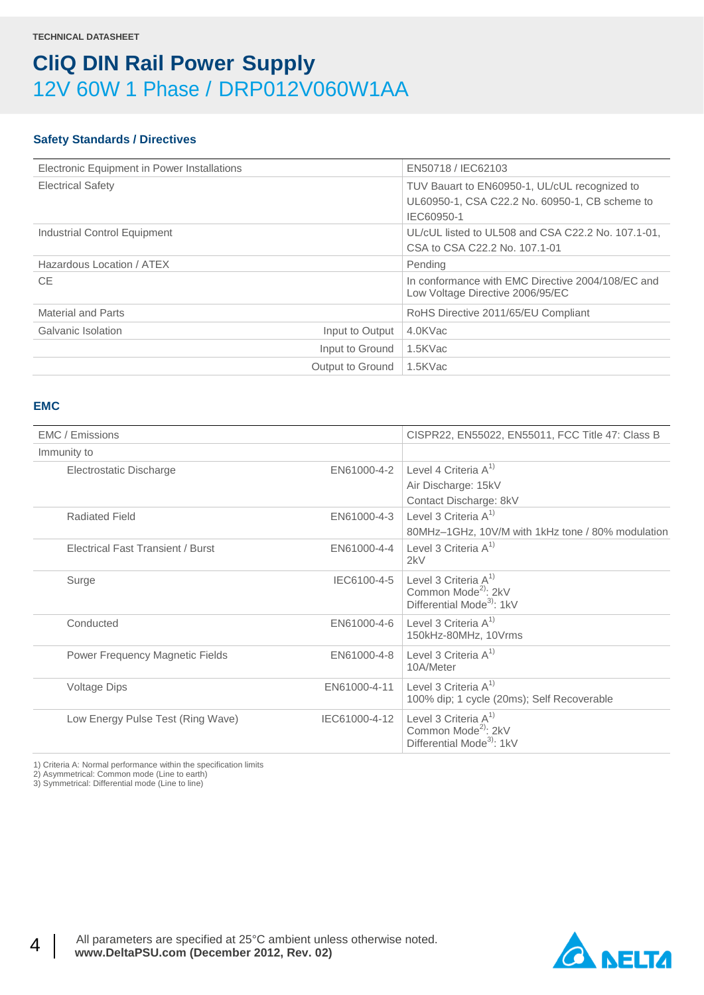## **Safety Standards / Directives**

| Electronic Equipment in Power Installations | EN50718 / IEC62103                                                                                            |
|---------------------------------------------|---------------------------------------------------------------------------------------------------------------|
| <b>Electrical Safety</b>                    | TUV Bauart to EN60950-1, UL/cUL recognized to<br>UL60950-1, CSA C22.2 No. 60950-1, CB scheme to<br>IEC60950-1 |
| Industrial Control Equipment                | UL/cUL listed to UL508 and CSA C22.2 No. 107.1-01,<br>CSA to CSA C22.2 No. 107.1-01                           |
| Hazardous Location / ATEX                   | Pending                                                                                                       |
| <b>CE</b>                                   | In conformance with EMC Directive 2004/108/EC and<br>Low Voltage Directive 2006/95/EC                         |
| <b>Material and Parts</b>                   | RoHS Directive 2011/65/EU Compliant                                                                           |
| Galvanic Isolation<br>Input to Output       | 4.0KVac                                                                                                       |
| Input to Ground                             | 1.5KVac                                                                                                       |
| Output to Ground                            | 1.5KVac                                                                                                       |

### **EMC**

| EMC / Emissions                          |               | CISPR22, EN55022, EN55011, FCC Title 47: Class B                                                   |
|------------------------------------------|---------------|----------------------------------------------------------------------------------------------------|
| Immunity to                              |               |                                                                                                    |
| Electrostatic Discharge                  | EN61000-4-2   | Level 4 Criteria $A^{1}$                                                                           |
|                                          |               | Air Discharge: 15kV                                                                                |
|                                          |               | Contact Discharge: 8kV                                                                             |
| <b>Radiated Field</b>                    | EN61000-4-3   | Level 3 Criteria $A^{1}$                                                                           |
|                                          |               | 80MHz-1GHz, 10V/M with 1kHz tone / 80% modulation                                                  |
| <b>Electrical Fast Transient / Burst</b> | EN61000-4-4   | Level 3 Criteria $A^{1}$<br>2kV                                                                    |
| Surge                                    | IEC6100-4-5   | Level 3 Criteria $A^{1}$<br>Common Mode <sup>2</sup> : 2kV<br>Differential Mode <sup>3</sup> : 1kV |
| Conducted                                | EN61000-4-6   | Level 3 Criteria $A^{1}$<br>150kHz-80MHz, 10Vrms                                                   |
| Power Frequency Magnetic Fields          | EN61000-4-8   | Level 3 Criteria $A^{1}$<br>10A/Meter                                                              |
| <b>Voltage Dips</b>                      | EN61000-4-11  | Level 3 Criteria $A^{1}$<br>100% dip; 1 cycle (20ms); Self Recoverable                             |
| Low Energy Pulse Test (Ring Wave)        | IEC61000-4-12 | Level 3 Criteria $A^{1}$<br>Common Mode <sup>2</sup> : 2kV<br>Differential Mode <sup>3</sup> : 1kV |

1) Criteria A: Normal performance within the specification limits

2) Asymmetrical: Common mode (Line to earth)

3) Symmetrical: Differential mode (Line to line)

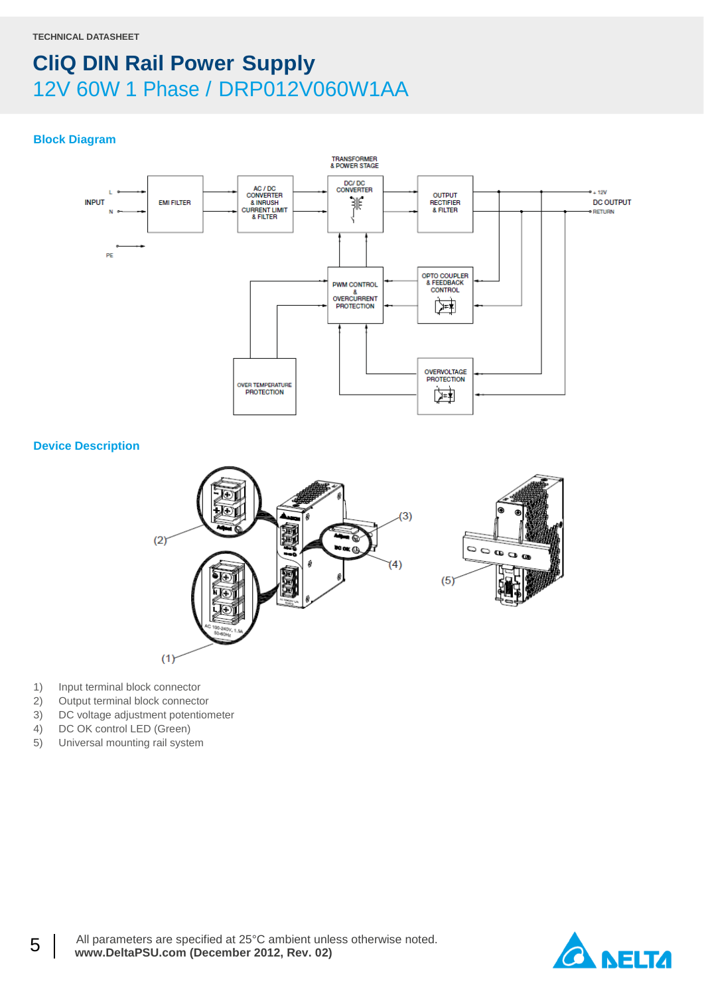### **Block Diagram**



**Device Description**



- 1) Input terminal block connector
- 2) Output terminal block connector
- 3) DC voltage adjustment potentiometer
- 4) DC OK control LED (Green)
- 5) Universal mounting rail system

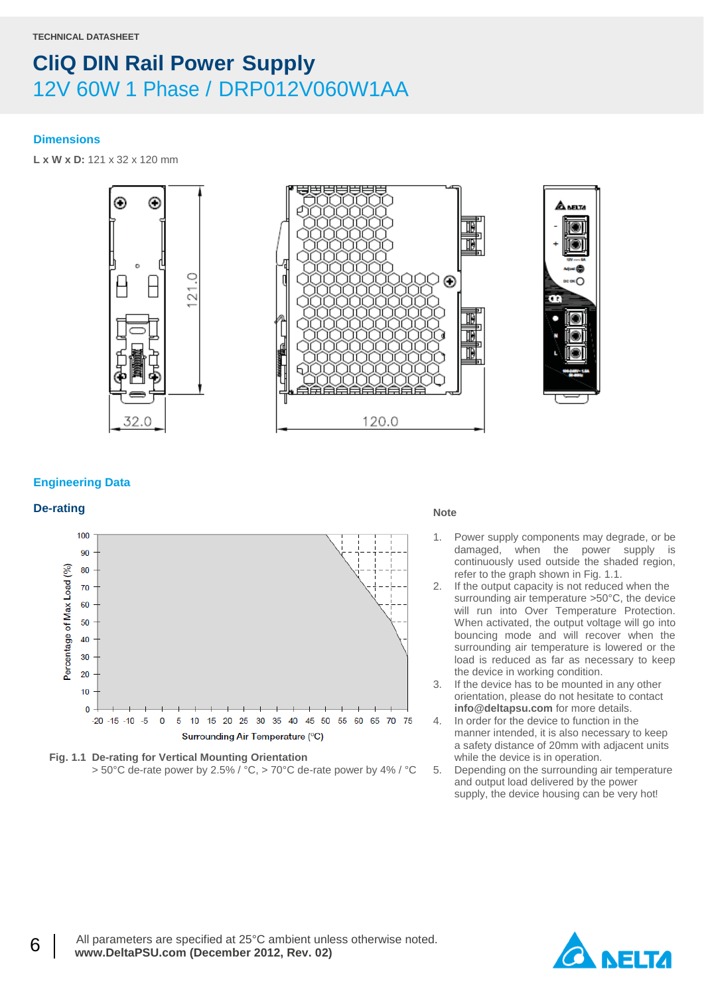#### **Dimensions**

**L x W x D:** 121 x 32 x 120 mm



#### **Engineering Data**

# **De-rating Note**





- 1. Power supply components may degrade, or be damaged, when the power supply is continuously used outside the shaded region, refer to the graph shown in Fig. 1.1.
- 2. If the output capacity is not reduced when the surrounding air temperature >50°C, the device will run into Over Temperature Protection. When activated, the output voltage will go into bouncing mode and will recover when the surrounding air temperature is lowered or the load is reduced as far as necessary to keep the device in working condition.
- 3. If the device has to be mounted in any other orientation, please do not hesitate to contact **info@deltapsu.com** for more details.
- 4. In order for the device to function in the manner intended, it is also necessary to keep a safety distance of 20mm with adjacent units while the device is in operation.
- 5. Depending on the surrounding air temperature and output load delivered by the power supply, the device housing can be very hot!

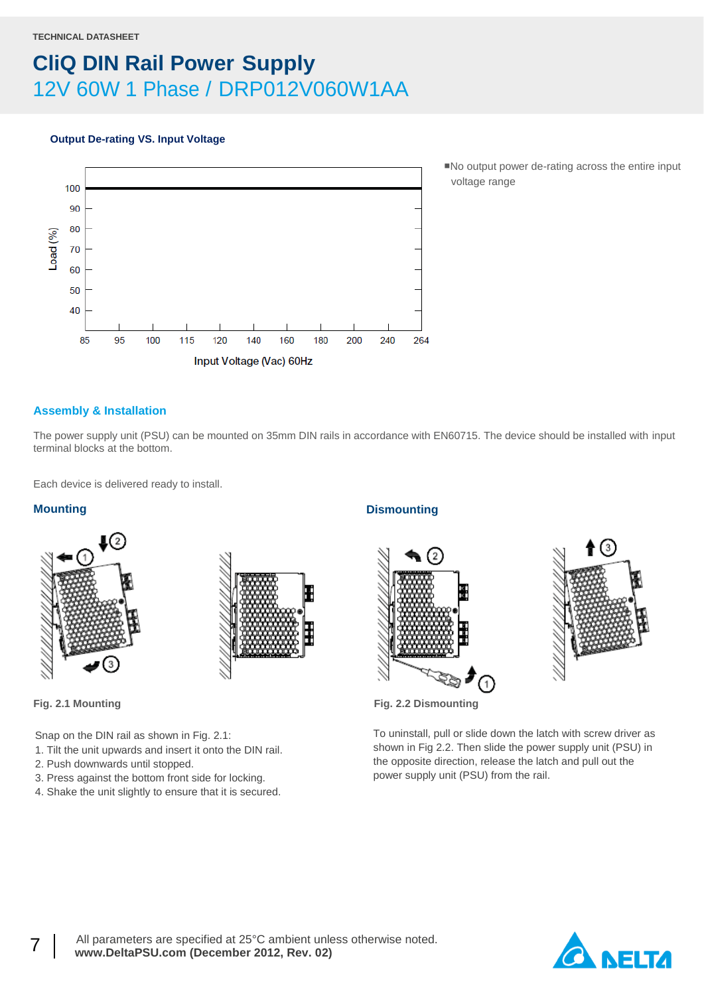#### **Output De-rating VS. Input Voltage**



■No output power de-rating across the entire input voltage range

### **Assembly & Installation**

The power supply unit (PSU) can be mounted on 35mm DIN rails in accordance with EN60715. The device should be installed with input terminal blocks at the bottom.

Each device is delivered ready to install.

#### **Mounting**





Snap on the DIN rail as shown in Fig. 2.1:

- 1. Tilt the unit upwards and insert it onto the DIN rail.
- 2. Push downwards until stopped.
- 3. Press against the bottom front side for locking.
- 4. Shake the unit slightly to ensure that it is secured.

### **Dismounting**





**Fig. 2.1 Mounting Fig. 2.2 Dismounting**

To uninstall, pull or slide down the latch with screw driver as shown in Fig 2.2. Then slide the power supply unit (PSU) in the opposite direction, release the latch and pull out the power supply unit (PSU) from the rail.

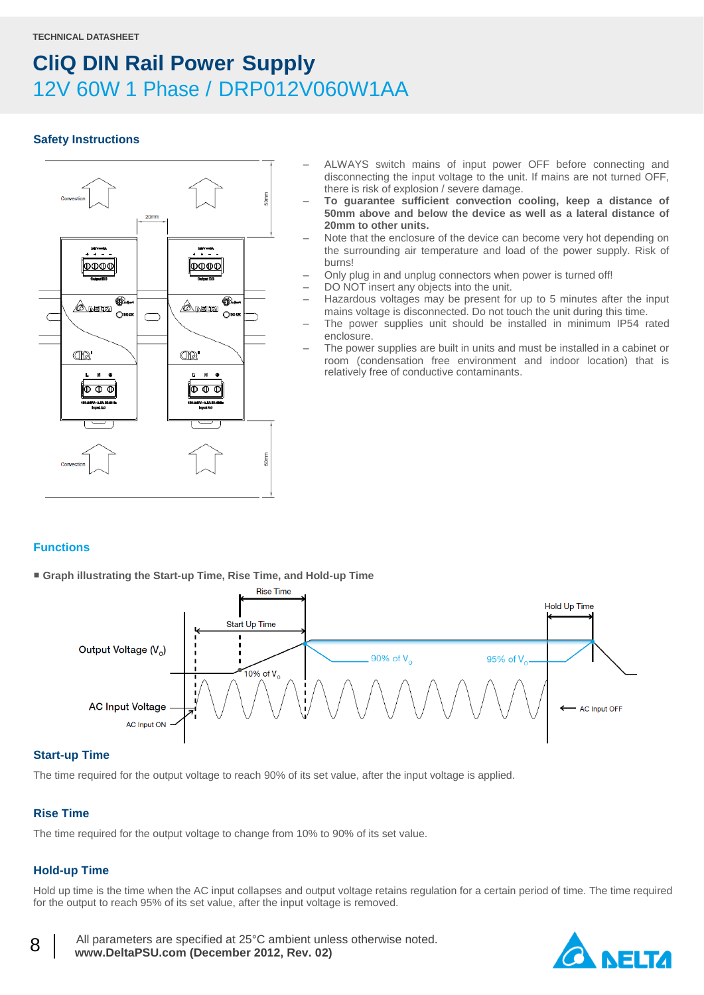### **Safety Instructions**



- ALWAYS switch mains of input power OFF before connecting and disconnecting the input voltage to the unit. If mains are not turned OFF, there is risk of explosion / severe damage.
- **To guarantee sufficient convection cooling, keep a distance of 50mm above and below the device as well as a lateral distance of 20mm to other units.**
- Note that the enclosure of the device can become very hot depending on the surrounding air temperature and load of the power supply. Risk of burns!
- Only plug in and unplug connectors when power is turned off!
- DO NOT insert any objects into the unit.
- Hazardous voltages may be present for up to 5 minutes after the input mains voltage is disconnected. Do not touch the unit during this time.
- The power supplies unit should be installed in minimum IP54 rated enclosure.
- The power supplies are built in units and must be installed in a cabinet or room (condensation free environment and indoor location) that is relatively free of conductive contaminants.

### **Functions**

■ **Graph illustrating the Start-up Time, Rise Time, and Hold-up Time**



#### **Start-up Time**

The time required for the output voltage to reach 90% of its set value, after the input voltage is applied.

### **Rise Time**

The time required for the output voltage to change from 10% to 90% of its set value.

### **Hold-up Time**

8

Hold up time is the time when the AC input collapses and output voltage retains regulation for a certain period of time. The time required for the output to reach 95% of its set value, after the input voltage is removed.

 All parameters are specified at 25°C ambient unless otherwise noted.  **www.DeltaPSU.com (December 2012, Rev. 02)**

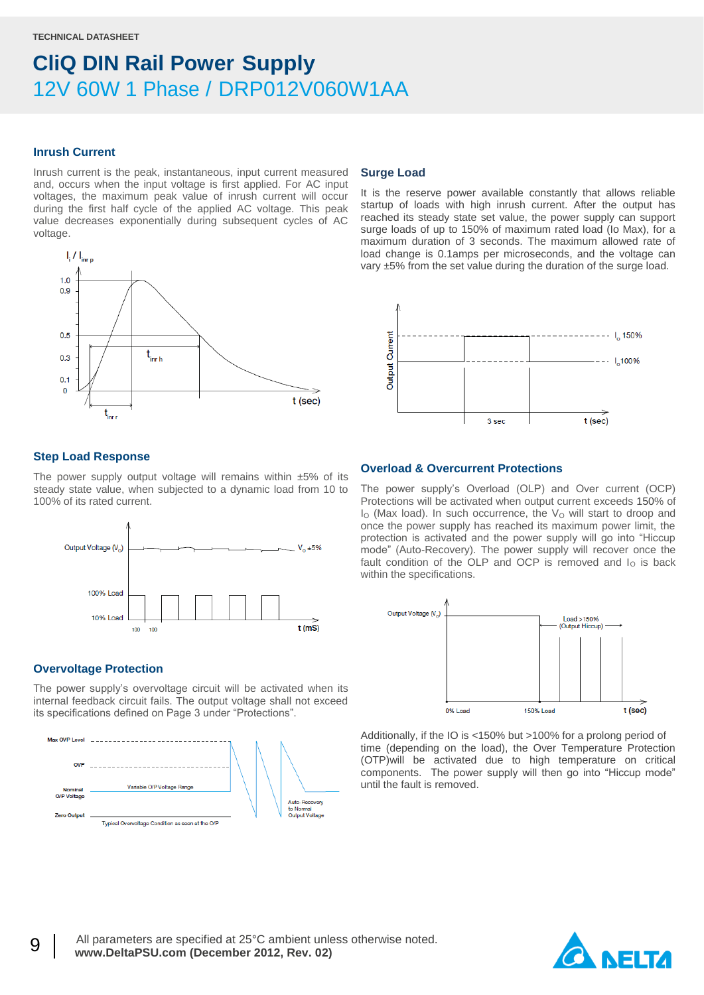#### **Inrush Current**

Inrush current is the peak, instantaneous, input current measured and, occurs when the input voltage is first applied. For AC input voltages, the maximum peak value of inrush current will occur during the first half cycle of the applied AC voltage. This peak value decreases exponentially during subsequent cycles of AC voltage.



#### **Step Load Response**

The power supply output voltage will remains within  $±5\%$  of its steady state value, when subjected to a dynamic load from 10 to 100% of its rated current.



### **Overvoltage Protection**

The power supply's overvoltage circuit will be activated when its internal feedback circuit fails. The output voltage shall not exceed its specifications defined on Page 3 under "Protections".



#### **Surge Load**

It is the reserve power available constantly that allows reliable startup of loads with high inrush current. After the output has reached its steady state set value, the power supply can support surge loads of up to 150% of maximum rated load (Io Max), for a maximum duration of 3 seconds. The maximum allowed rate of load change is 0.1amps per microseconds, and the voltage can vary ±5% from the set value during the duration of the surge load.



### **Overload & Overcurrent Protections**

The power supply's Overload (OLP) and Over current (OCP) Protections will be activated when output current exceeds 150% of  $I<sub>O</sub>$  (Max load). In such occurrence, the  $V<sub>O</sub>$  will start to droop and once the power supply has reached its maximum power limit, the protection is activated and the power supply will go into "Hiccup mode" (Auto-Recovery). The power supply will recover once the fault condition of the OLP and OCP is removed and  $I<sub>O</sub>$  is back within the specifications.



Additionally, if the IO is <150% but >100% for a prolong period of time (depending on the load), the Over Temperature Protection (OTP)will be activated due to high temperature on critical components. The power supply will then go into "Hiccup mode" until the fault is removed.

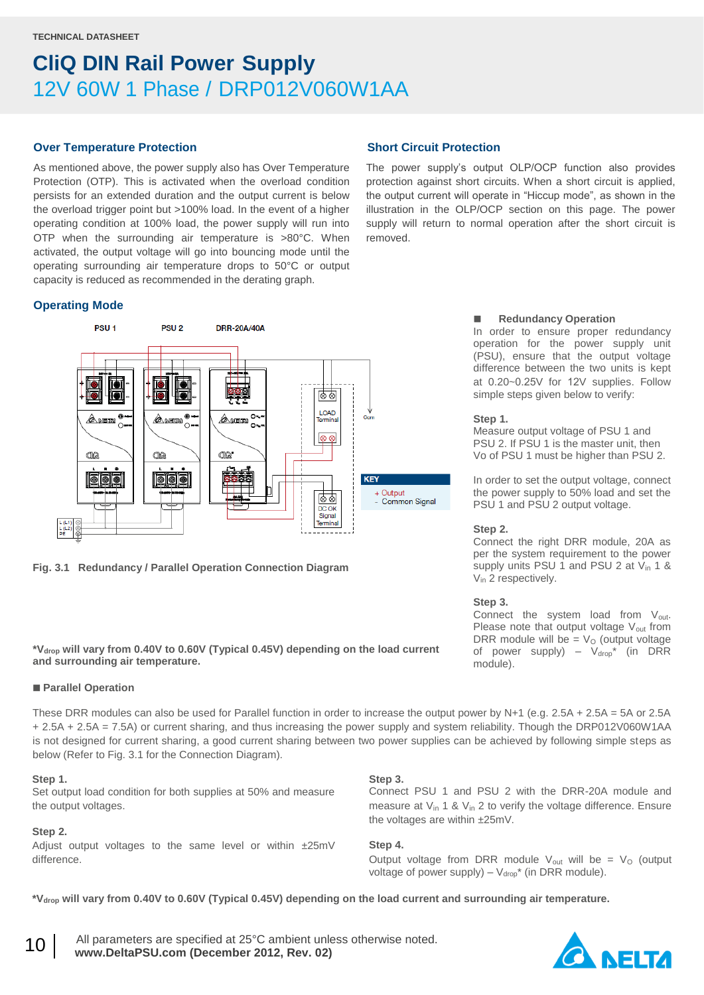#### **Over Temperature Protection**

As mentioned above, the power supply also has Over Temperature Protection (OTP). This is activated when the overload condition persists for an extended duration and the output current is below the overload trigger point but >100% load. In the event of a higher operating condition at 100% load, the power supply will run into OTP when the surrounding air temperature is >80°C. When activated, the output voltage will go into bouncing mode until the operating surrounding air temperature drops to 50°C or output capacity is reduced as recommended in the derating graph.

#### **Operating Mode**



**Fig. 3.1 Redundancy / Parallel Operation Connection Diagram**

#### **\*Vdrop will vary from 0.40V to 0.60V (Typical 0.45V) depending on the load current and surrounding air temperature.**

#### **Parallel Operation**

These DRR modules can also be used for Parallel function in order to increase the output power by N+1 (e.g.  $2.5A + 2.5A = 5A$  or  $2.5A$ + 2.5A + 2.5A = 7.5A) or current sharing, and thus increasing the power supply and system reliability. Though the DRP012V060W1AA is not designed for current sharing, a good current sharing between two power supplies can be achieved by following simple steps as below (Refer to Fig. 3.1 for the Connection Diagram).

#### **Step 1.**

Set output load condition for both supplies at 50% and measure the output voltages.

### **Step 2.**

10

Adjust output voltages to the same level or within ±25mV difference.

# **Short Circuit Protection**

The power supply's output OLP/OCP function also provides protection against short circuits. When a short circuit is applied, the output current will operate in "Hiccup mode", as shown in the illustration in the OLP/OCP section on this page. The power supply will return to normal operation after the short circuit is removed.

#### **Redundancy Operation**

In order to ensure proper redundancy operation for the power supply unit (PSU), ensure that the output voltage difference between the two units is kept at 0.20~0.25V for 12V supplies. Follow simple steps given below to verify:

#### **Step 1.**

Measure output voltage of PSU 1 and PSU 2. If PSU 1 is the master unit, then Vo of PSU 1 must be higher than PSU 2.

In order to set the output voltage, connect the power supply to 50% load and set the PSU 1 and PSU 2 output voltage.

#### **Step 2.**

Connect the right DRR module, 20A as per the system requirement to the power supply units PSU 1 and PSU 2 at  $V_{in}$  1 & V<sub>in</sub> 2 respectively.

#### **Step 3.**

Connect the system load from  $V_{\text{out}}$ . Please note that output voltage V<sub>out</sub> from DRR module will be =  $V<sub>O</sub>$  (output voltage of power supply) –  $V_{drop}^*$  (in DRR module).

#### **Step 3.**

Connect PSU 1 and PSU 2 with the DRR-20A module and measure at  $V_{in}$  1 &  $V_{in}$  2 to verify the voltage difference. Ensure the voltages are within ±25mV.

**Step 4.**

Output voltage from DRR module  $V_{\text{out}}$  will be =  $V_{\text{O}}$  (output voltage of power supply) –  $V_{drop}^*$  (in DRR module).

**\*Vdrop will vary from 0.40V to 0.60V (Typical 0.45V) depending on the load current and surrounding air temperature.**